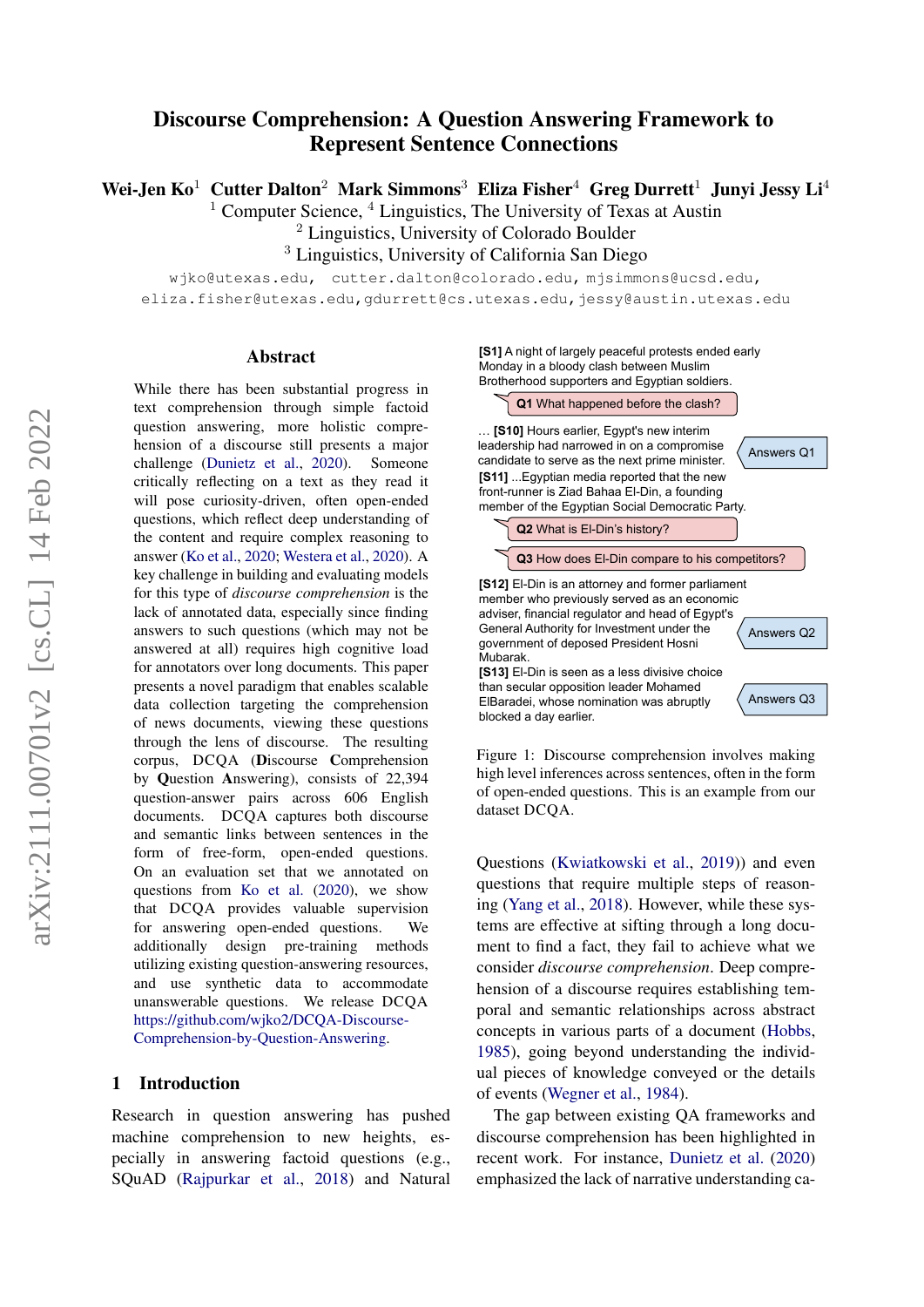# Discourse Comprehension: A Question Answering Framework to Represent Sentence Connections

Wei-Jen  $K_0$ <sup>1</sup> Cutter Dalton<sup>2</sup> Mark Simmons<sup>3</sup> Eliza Fisher<sup>4</sup> Greg Durrett<sup>1</sup> Junyi Jessy Li<sup>4</sup>

<sup>1</sup> Computer Science,  $4$  Linguistics, The University of Texas at Austin

<sup>2</sup> Linguistics, University of Colorado Boulder

<sup>3</sup> Linguistics, University of California San Diego

wjko@utexas.edu, cutter.dalton@colorado.edu, mjsimmons@ucsd.edu,

eliza.fisher@utexas.edu,gdurrett@cs.utexas.edu,jessy@austin.utexas.edu

### Abstract

While there has been substantial progress in text comprehension through simple factoid question answering, more holistic comprehension of a discourse still presents a major challenge [\(Dunietz et al.,](#page-12-0) [2020\)](#page-12-0). Someone critically reflecting on a text as they read it will pose curiosity-driven, often open-ended questions, which reflect deep understanding of the content and require complex reasoning to answer [\(Ko et al.,](#page-12-1) [2020;](#page-12-1) [Westera et al.,](#page-13-0) [2020\)](#page-13-0). A key challenge in building and evaluating models for this type of *discourse comprehension* is the lack of annotated data, especially since finding answers to such questions (which may not be answered at all) requires high cognitive load for annotators over long documents. This paper presents a novel paradigm that enables scalable data collection targeting the comprehension of news documents, viewing these questions through the lens of discourse. The resulting corpus, DCQA (Discourse Comprehension by Question Answering), consists of 22,394 question-answer pairs across 606 English documents. DCQA captures both discourse and semantic links between sentences in the form of free-form, open-ended questions. On an evaluation set that we annotated on questions from [Ko et al.](#page-12-1) [\(2020\)](#page-12-1), we show that DCQA provides valuable supervision for answering open-ended questions. We additionally design pre-training methods utilizing existing question-answering resources, and use synthetic data to accommodate unanswerable questions. We release DCQA [https://github.com/wjko2/DCQA-Discourse-](https://github.com/wjko2/DCQA-Discourse-Comprehension-by-Question-Answering)[Comprehension-by-Question-Answering.](https://github.com/wjko2/DCQA-Discourse-Comprehension-by-Question-Answering)

### 1 Introduction

Research in question answering has pushed machine comprehension to new heights, especially in answering factoid questions (e.g., SQuAD [\(Rajpurkar et al.,](#page-13-1) [2018\)](#page-13-1) and Natural

**[S1]** A night of largely peaceful protests ended early Monday in a bloody clash between Muslim Brotherhood supporters and Egyptian soldiers.



<span id="page-0-0"></span>Figure 1: Discourse comprehension involves making high level inferences across sentences, often in the form of open-ended questions. This is an example from our dataset DCQA.

Questions [\(Kwiatkowski et al.,](#page-12-2) [2019\)](#page-12-2)) and even questions that require multiple steps of reasoning [\(Yang et al.,](#page-13-2) [2018\)](#page-13-2). However, while these systems are effective at sifting through a long document to find a fact, they fail to achieve what we consider *discourse comprehension*. Deep comprehension of a discourse requires establishing temporal and semantic relationships across abstract concepts in various parts of a document [\(Hobbs,](#page-12-3) [1985\)](#page-12-3), going beyond understanding the individual pieces of knowledge conveyed or the details of events [\(Wegner et al.,](#page-13-3) [1984\)](#page-13-3).

The gap between existing QA frameworks and discourse comprehension has been highlighted in recent work. For instance, [Dunietz et al.](#page-12-0) [\(2020\)](#page-12-0) emphasized the lack of narrative understanding ca-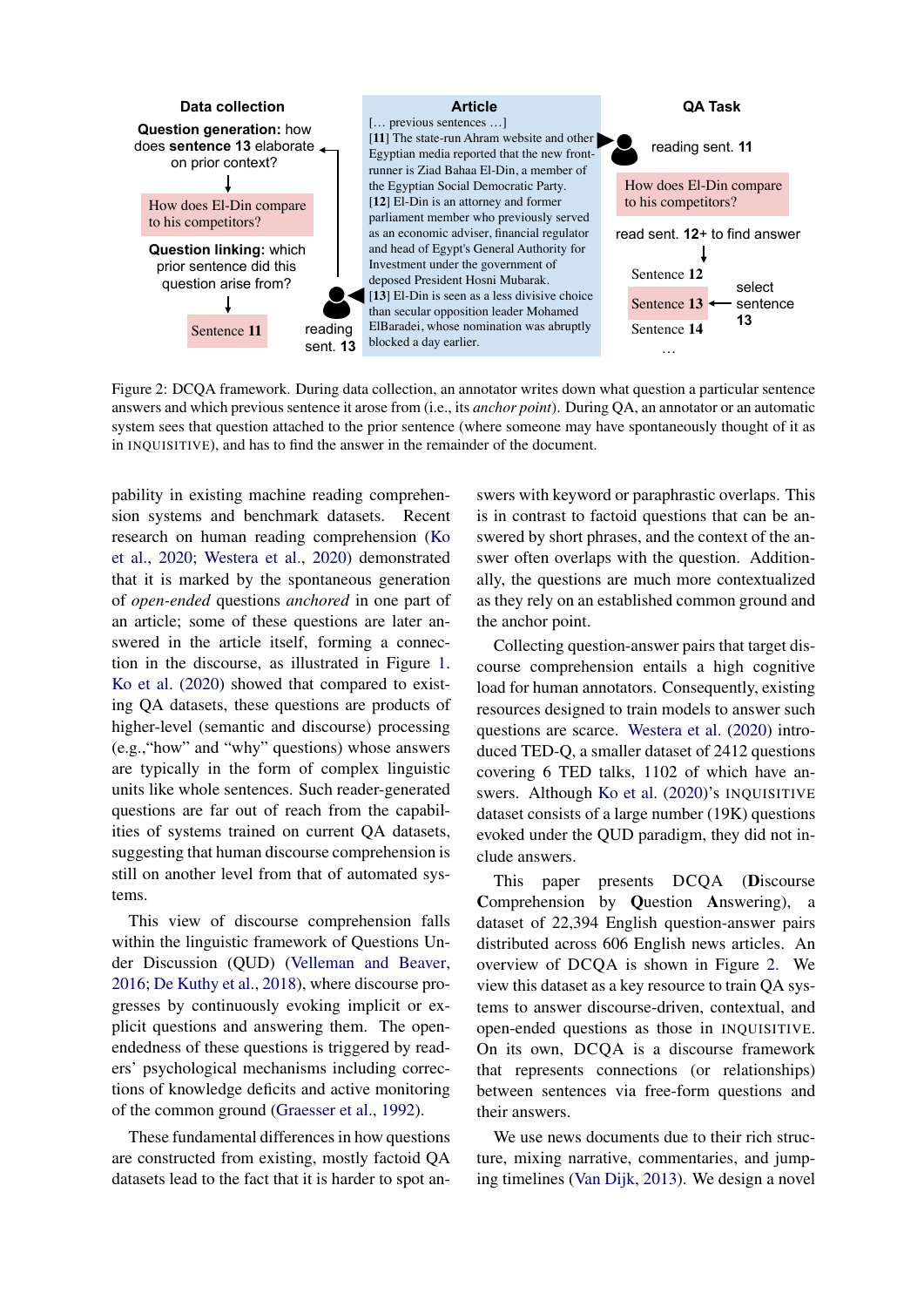

<span id="page-1-0"></span>Figure 2: DCQA framework. During data collection, an annotator writes down what question a particular sentence answers and which previous sentence it arose from (i.e., its *anchor point*). During QA, an annotator or an automatic system sees that question attached to the prior sentence (where someone may have spontaneously thought of it as in INQUISITIVE), and has to find the answer in the remainder of the document.

pability in existing machine reading comprehension systems and benchmark datasets. Recent research on human reading comprehension [\(Ko](#page-12-1) [et al.,](#page-12-1) [2020;](#page-12-1) [Westera et al.,](#page-13-0) [2020\)](#page-13-0) demonstrated that it is marked by the spontaneous generation of *open-ended* questions *anchored* in one part of an article; some of these questions are later answered in the article itself, forming a connection in the discourse, as illustrated in Figure [1.](#page-0-0) [Ko et al.](#page-12-1) [\(2020\)](#page-12-1) showed that compared to existing QA datasets, these questions are products of higher-level (semantic and discourse) processing (e.g.,"how" and "why" questions) whose answers are typically in the form of complex linguistic units like whole sentences. Such reader-generated questions are far out of reach from the capabilities of systems trained on current QA datasets, suggesting that human discourse comprehension is still on another level from that of automated systems.

This view of discourse comprehension falls within the linguistic framework of Questions Under Discussion (QUD) [\(Velleman and Beaver,](#page-13-4) [2016;](#page-13-4) [De Kuthy et al.,](#page-11-0) [2018\)](#page-11-0), where discourse progresses by continuously evoking implicit or explicit questions and answering them. The openendedness of these questions is triggered by readers' psychological mechanisms including corrections of knowledge deficits and active monitoring of the common ground [\(Graesser et al.,](#page-12-4) [1992\)](#page-12-4).

These fundamental differences in how questions are constructed from existing, mostly factoid QA datasets lead to the fact that it is harder to spot an-

swers with keyword or paraphrastic overlaps. This is in contrast to factoid questions that can be answered by short phrases, and the context of the answer often overlaps with the question. Additionally, the questions are much more contextualized as they rely on an established common ground and the anchor point.

Collecting question-answer pairs that target discourse comprehension entails a high cognitive load for human annotators. Consequently, existing resources designed to train models to answer such questions are scarce. [Westera et al.](#page-13-0) [\(2020\)](#page-13-0) introduced TED-Q, a smaller dataset of 2412 questions covering 6 TED talks, 1102 of which have an-swers. Although [Ko et al.](#page-12-1) [\(2020\)](#page-12-1)'s INQUISITIVE dataset consists of a large number (19K) questions evoked under the QUD paradigm, they did not include answers.

This paper presents DCQA (Discourse Comprehension by Question Answering), a dataset of 22,394 English question-answer pairs distributed across 606 English news articles. An overview of DCQA is shown in Figure [2.](#page-1-0) We view this dataset as a key resource to train QA systems to answer discourse-driven, contextual, and open-ended questions as those in INQUISITIVE. On its own, DCQA is a discourse framework that represents connections (or relationships) between sentences via free-form questions and their answers.

We use news documents due to their rich structure, mixing narrative, commentaries, and jumping timelines [\(Van Dijk,](#page-13-5) [2013\)](#page-13-5). We design a novel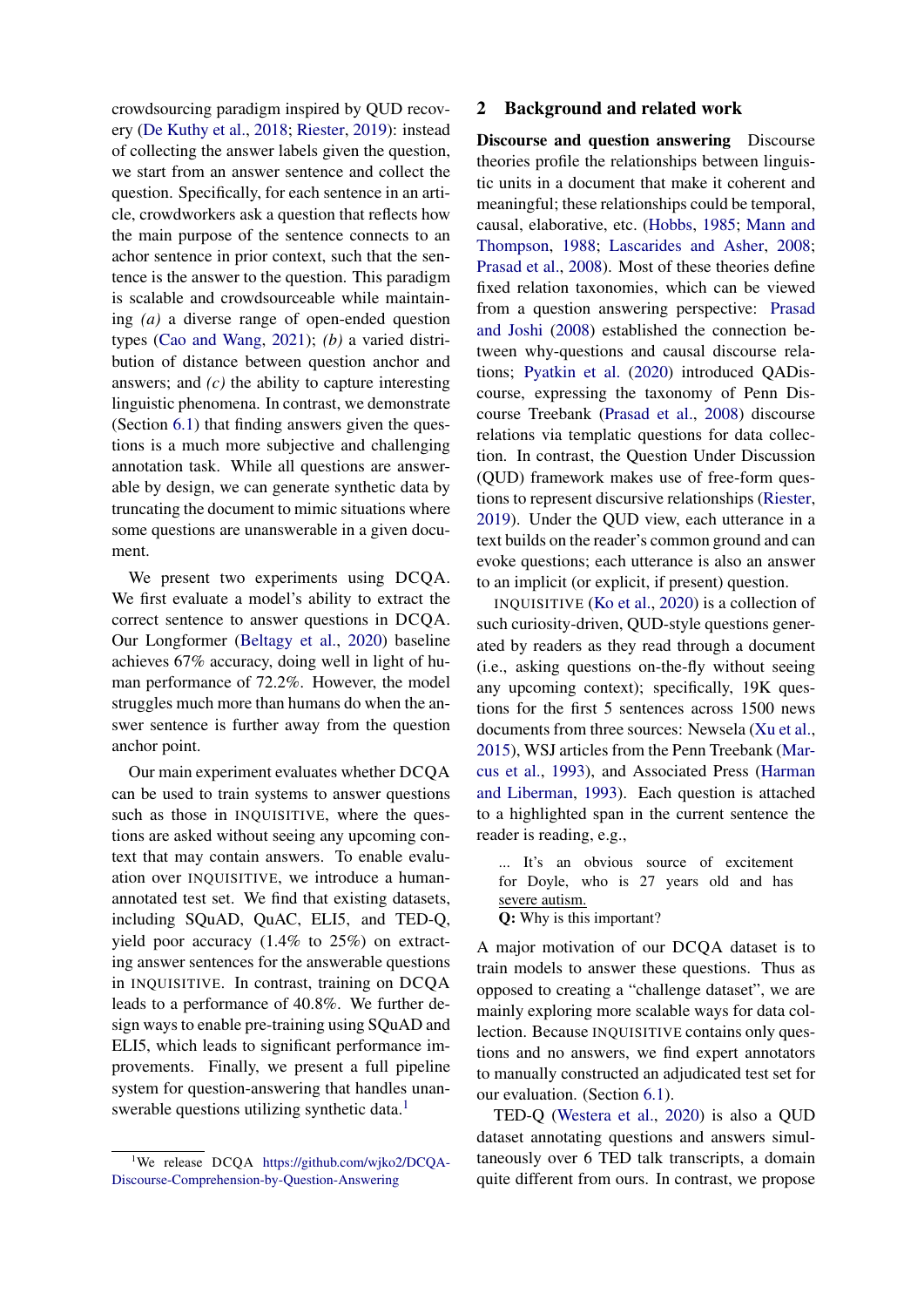crowdsourcing paradigm inspired by QUD recovery [\(De Kuthy et al.,](#page-11-0) [2018;](#page-11-0) [Riester,](#page-13-6) [2019\)](#page-13-6): instead of collecting the answer labels given the question, we start from an answer sentence and collect the question. Specifically, for each sentence in an article, crowdworkers ask a question that reflects how the main purpose of the sentence connects to an achor sentence in prior context, such that the sentence is the answer to the question. This paradigm is scalable and crowdsourceable while maintaining *(a)* a diverse range of open-ended question types [\(Cao and Wang,](#page-11-1) [2021\)](#page-11-1); *(b)* a varied distribution of distance between question anchor and answers; and *(c)* the ability to capture interesting linguistic phenomena. In contrast, we demonstrate (Section [6.1\)](#page-9-0) that finding answers given the questions is a much more subjective and challenging annotation task. While all questions are answerable by design, we can generate synthetic data by truncating the document to mimic situations where some questions are unanswerable in a given document.

We present two experiments using DCQA. We first evaluate a model's ability to extract the correct sentence to answer questions in DCQA. Our Longformer [\(Beltagy et al.,](#page-11-2) [2020\)](#page-11-2) baseline achieves 67% accuracy, doing well in light of human performance of 72.2%. However, the model struggles much more than humans do when the answer sentence is further away from the question anchor point.

Our main experiment evaluates whether DCQA can be used to train systems to answer questions such as those in INQUISITIVE, where the questions are asked without seeing any upcoming context that may contain answers. To enable evaluation over INQUISITIVE, we introduce a humanannotated test set. We find that existing datasets, including SQuAD, QuAC, ELI5, and TED-Q, yield poor accuracy (1.4% to 25%) on extracting answer sentences for the answerable questions in INQUISITIVE. In contrast, training on DCQA leads to a performance of 40.8%. We further design ways to enable pre-training using SQuAD and ELI5, which leads to significant performance improvements. Finally, we present a full pipeline system for question-answering that handles unan-swerable questions utilizing synthetic data.<sup>[1](#page-2-0)</sup>

# <span id="page-2-1"></span>2 Background and related work

Discourse and question answering Discourse theories profile the relationships between linguistic units in a document that make it coherent and meaningful; these relationships could be temporal, causal, elaborative, etc. [\(Hobbs,](#page-12-3) [1985;](#page-12-3) [Mann and](#page-12-5) [Thompson,](#page-12-5) [1988;](#page-12-5) [Lascarides and Asher,](#page-12-6) [2008;](#page-12-6) [Prasad et al.,](#page-12-7) [2008\)](#page-12-7). Most of these theories define fixed relation taxonomies, which can be viewed from a question answering perspective: [Prasad](#page-13-7) [and Joshi](#page-13-7) [\(2008\)](#page-13-7) established the connection between why-questions and causal discourse relations; [Pyatkin et al.](#page-13-8) [\(2020\)](#page-13-8) introduced QADiscourse, expressing the taxonomy of Penn Discourse Treebank [\(Prasad et al.,](#page-12-7) [2008\)](#page-12-7) discourse relations via templatic questions for data collection. In contrast, the Question Under Discussion (QUD) framework makes use of free-form questions to represent discursive relationships [\(Riester,](#page-13-6) [2019\)](#page-13-6). Under the QUD view, each utterance in a text builds on the reader's common ground and can evoke questions; each utterance is also an answer to an implicit (or explicit, if present) question.

INQUISITIVE [\(Ko et al.,](#page-12-1) [2020\)](#page-12-1) is a collection of such curiosity-driven, QUD-style questions generated by readers as they read through a document (i.e., asking questions on-the-fly without seeing any upcoming context); specifically, 19K questions for the first 5 sentences across 1500 news documents from three sources: Newsela [\(Xu et al.,](#page-13-9) [2015\)](#page-13-9), WSJ articles from the Penn Treebank [\(Mar](#page-12-8)[cus et al.,](#page-12-8) [1993\)](#page-12-8), and Associated Press [\(Harman](#page-12-9) [and Liberman,](#page-12-9) [1993\)](#page-12-9). Each question is attached to a highlighted span in the current sentence the reader is reading, e.g.,

... It's an obvious source of excitement for Doyle, who is 27 years old and has severe autism. Q: Why is this important?

A major motivation of our DCQA dataset is to train models to answer these questions. Thus as opposed to creating a "challenge dataset", we are mainly exploring more scalable ways for data collection. Because INQUISITIVE contains only questions and no answers, we find expert annotators to manually constructed an adjudicated test set for our evaluation. (Section [6.1\)](#page-9-0).

TED-Q [\(Westera et al.,](#page-13-0) [2020\)](#page-13-0) is also a QUD dataset annotating questions and answers simultaneously over 6 TED talk transcripts, a domain quite different from ours. In contrast, we propose

<span id="page-2-0"></span><sup>&</sup>lt;sup>1</sup>We release DCQA [https://github.com/wjko2/DCQA-](https://github.com/wjko2/DCQA-Discourse-Comprehension-by-Question-Answering)[Discourse-Comprehension-by-Question-Answering](https://github.com/wjko2/DCQA-Discourse-Comprehension-by-Question-Answering)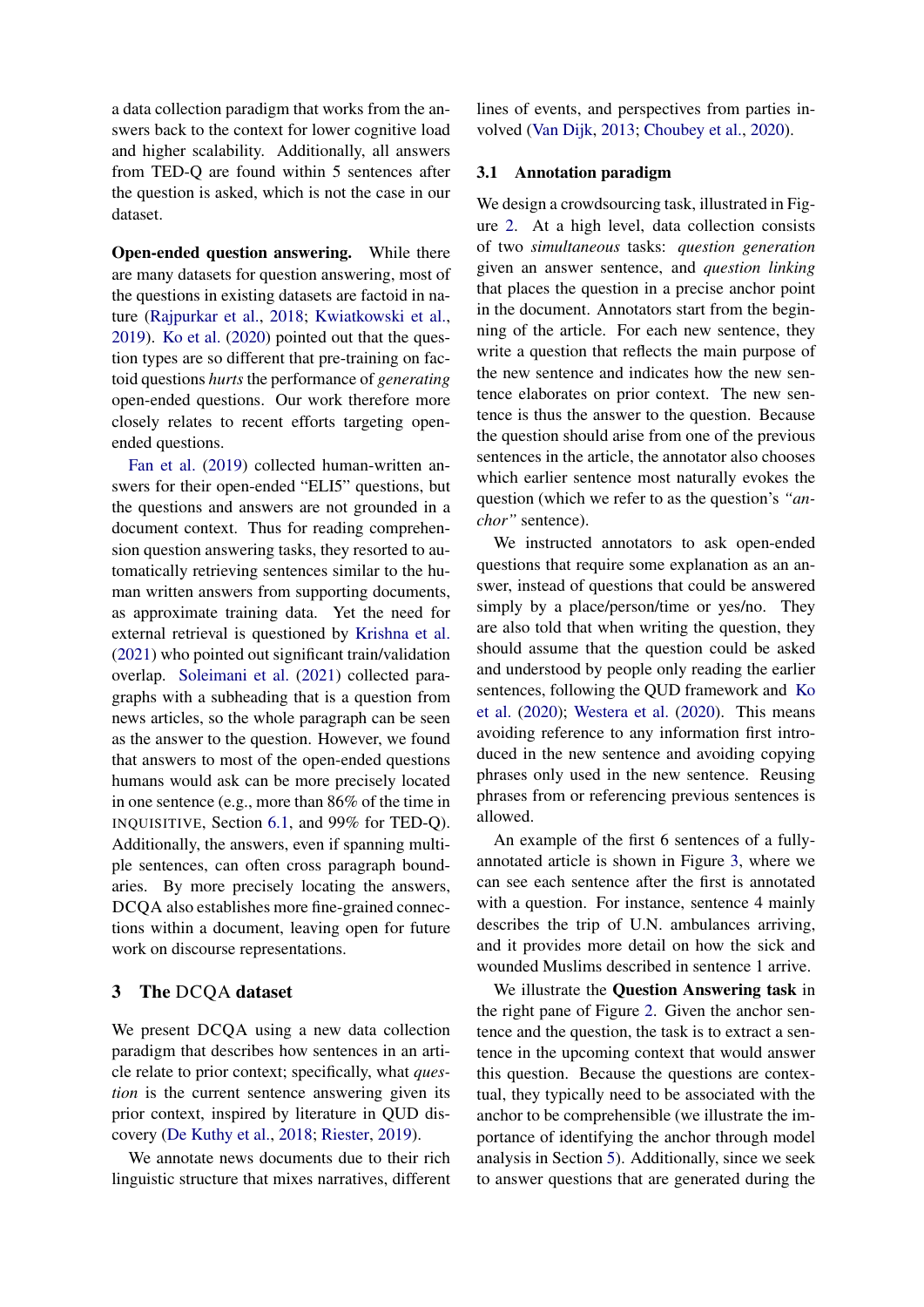a data collection paradigm that works from the answers back to the context for lower cognitive load and higher scalability. Additionally, all answers from TED-Q are found within 5 sentences after the question is asked, which is not the case in our dataset.

Open-ended question answering. While there are many datasets for question answering, most of the questions in existing datasets are factoid in nature [\(Rajpurkar et al.,](#page-13-1) [2018;](#page-13-1) [Kwiatkowski et al.,](#page-12-2) [2019\)](#page-12-2). [Ko et al.](#page-12-1) [\(2020\)](#page-12-1) pointed out that the question types are so different that pre-training on factoid questions *hurts* the performance of *generating* open-ended questions. Our work therefore more closely relates to recent efforts targeting openended questions.

[Fan et al.](#page-12-10) [\(2019\)](#page-12-10) collected human-written answers for their open-ended "ELI5" questions, but the questions and answers are not grounded in a document context. Thus for reading comprehension question answering tasks, they resorted to automatically retrieving sentences similar to the human written answers from supporting documents, as approximate training data. Yet the need for external retrieval is questioned by [Krishna et al.](#page-12-11) [\(2021\)](#page-12-11) who pointed out significant train/validation overlap. [Soleimani et al.](#page-13-10) [\(2021\)](#page-13-10) collected paragraphs with a subheading that is a question from news articles, so the whole paragraph can be seen as the answer to the question. However, we found that answers to most of the open-ended questions humans would ask can be more precisely located in one sentence (e.g., more than 86% of the time in INQUISITIVE, Section [6.1,](#page-9-0) and 99% for TED-Q). Additionally, the answers, even if spanning multiple sentences, can often cross paragraph boundaries. By more precisely locating the answers, DCQA also establishes more fine-grained connections within a document, leaving open for future work on discourse representations.

# 3 The DCQA dataset

We present DCQA using a new data collection paradigm that describes how sentences in an article relate to prior context; specifically, what *question* is the current sentence answering given its prior context, inspired by literature in QUD discovery [\(De Kuthy et al.,](#page-11-0) [2018;](#page-11-0) [Riester,](#page-13-6) [2019\)](#page-13-6).

We annotate news documents due to their rich linguistic structure that mixes narratives, different lines of events, and perspectives from parties involved [\(Van Dijk,](#page-13-5) [2013;](#page-13-5) [Choubey et al.,](#page-11-3) [2020\)](#page-11-3).

# 3.1 Annotation paradigm

We design a crowdsourcing task, illustrated in Figure [2.](#page-1-0) At a high level, data collection consists of two *simultaneous* tasks: *question generation* given an answer sentence, and *question linking* that places the question in a precise anchor point in the document. Annotators start from the beginning of the article. For each new sentence, they write a question that reflects the main purpose of the new sentence and indicates how the new sentence elaborates on prior context. The new sentence is thus the answer to the question. Because the question should arise from one of the previous sentences in the article, the annotator also chooses which earlier sentence most naturally evokes the question (which we refer to as the question's *"anchor"* sentence).

We instructed annotators to ask open-ended questions that require some explanation as an answer, instead of questions that could be answered simply by a place/person/time or yes/no. They are also told that when writing the question, they should assume that the question could be asked and understood by people only reading the earlier sentences, following the QUD framework and [Ko](#page-12-1) [et al.](#page-12-1) [\(2020\)](#page-12-1); [Westera et al.](#page-13-0) [\(2020\)](#page-13-0). This means avoiding reference to any information first introduced in the new sentence and avoiding copying phrases only used in the new sentence. Reusing phrases from or referencing previous sentences is allowed.

An example of the first 6 sentences of a fullyannotated article is shown in Figure [3,](#page-4-0) where we can see each sentence after the first is annotated with a question. For instance, sentence 4 mainly describes the trip of U.N. ambulances arriving, and it provides more detail on how the sick and wounded Muslims described in sentence 1 arrive.

We illustrate the Question Answering task in the right pane of Figure [2.](#page-1-0) Given the anchor sentence and the question, the task is to extract a sentence in the upcoming context that would answer this question. Because the questions are contextual, they typically need to be associated with the anchor to be comprehensible (we illustrate the importance of identifying the anchor through model analysis in Section [5\)](#page-7-0). Additionally, since we seek to answer questions that are generated during the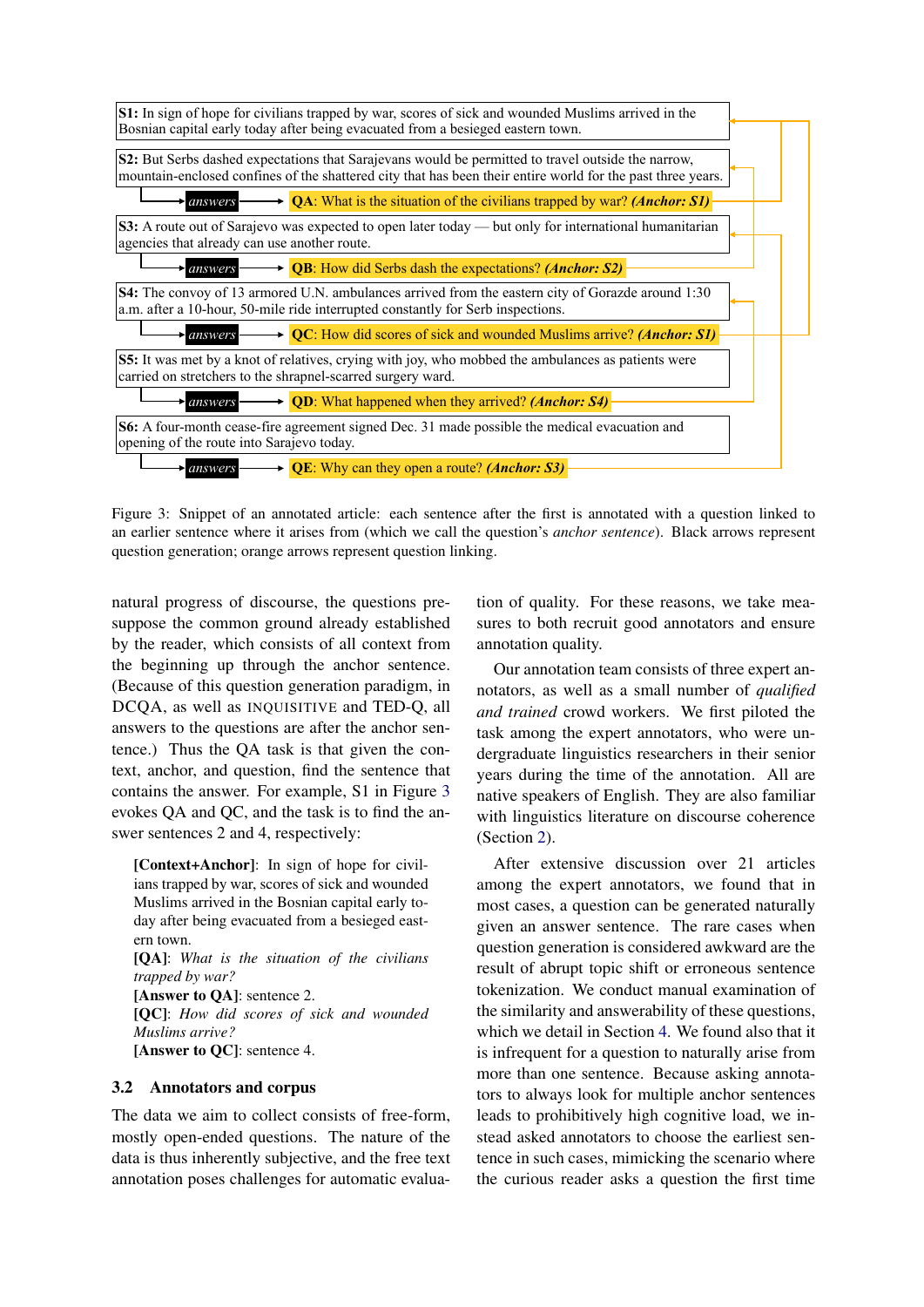

<span id="page-4-0"></span>Figure 3: Snippet of an annotated article: each sentence after the first is annotated with a question linked to an earlier sentence where it arises from (which we call the question's *anchor sentence*). Black arrows represent question generation; orange arrows represent question linking.

natural progress of discourse, the questions presuppose the common ground already established by the reader, which consists of all context from the beginning up through the anchor sentence. (Because of this question generation paradigm, in DCQA, as well as INQUISITIVE and TED-Q, all answers to the questions are after the anchor sentence.) Thus the QA task is that given the context, anchor, and question, find the sentence that contains the answer. For example, S1 in Figure [3](#page-4-0) evokes QA and QC, and the task is to find the answer sentences 2 and 4, respectively:

[Context+Anchor]: In sign of hope for civilians trapped by war, scores of sick and wounded Muslims arrived in the Bosnian capital early today after being evacuated from a besieged eastern town. [QA]: *What is the situation of the civilians trapped by war?* [Answer to QA]: sentence 2. [QC]: *How did scores of sick and wounded Muslims arrive?* [Answer to QC]: sentence 4.

#### 3.2 Annotators and corpus

The data we aim to collect consists of free-form, mostly open-ended questions. The nature of the data is thus inherently subjective, and the free text annotation poses challenges for automatic evaluation of quality. For these reasons, we take measures to both recruit good annotators and ensure annotation quality.

Our annotation team consists of three expert annotators, as well as a small number of *qualified and trained* crowd workers. We first piloted the task among the expert annotators, who were undergraduate linguistics researchers in their senior years during the time of the annotation. All are native speakers of English. They are also familiar with linguistics literature on discourse coherence (Section [2\)](#page-2-1).

After extensive discussion over 21 articles among the expert annotators, we found that in most cases, a question can be generated naturally given an answer sentence. The rare cases when question generation is considered awkward are the result of abrupt topic shift or erroneous sentence tokenization. We conduct manual examination of the similarity and answerability of these questions, which we detail in Section [4.](#page-5-0) We found also that it is infrequent for a question to naturally arise from more than one sentence. Because asking annotators to always look for multiple anchor sentences leads to prohibitively high cognitive load, we instead asked annotators to choose the earliest sentence in such cases, mimicking the scenario where the curious reader asks a question the first time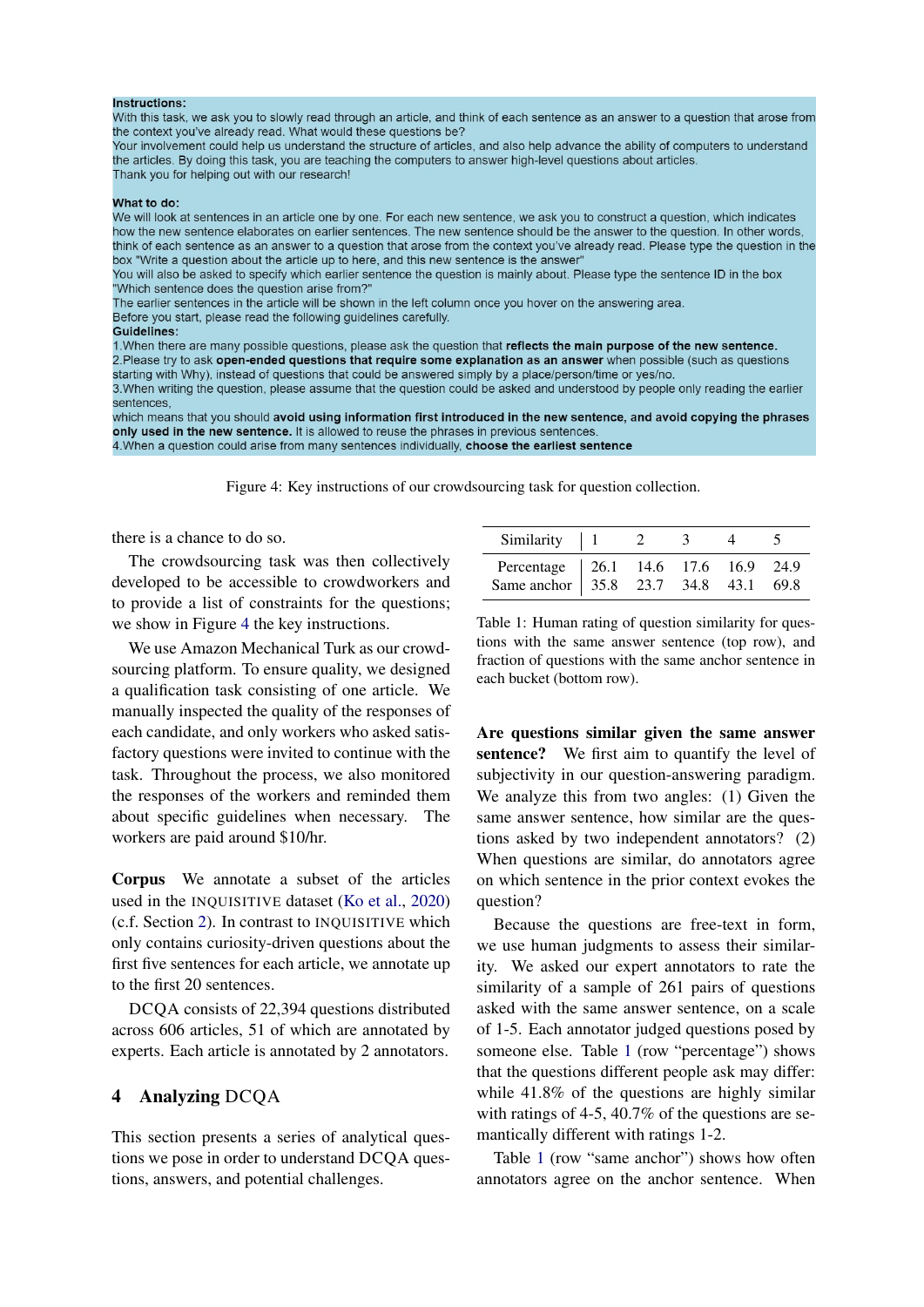#### Inetructione:

With this task, we ask you to slowly read through an article, and think of each sentence as an answer to a question that arose from the context you've already read. What would these questions be?

Your involvement could help us understand the structure of articles, and also help advance the ability of computers to understand the articles. By doing this task, you are teaching the computers to answer high-level questions about articles. Thank you for helping out with our research!

#### What to do:

We will look at sentences in an article one by one. For each new sentence, we ask you to construct a question, which indicates how the new sentence elaborates on earlier sentences. The new sentence should be the answer to the question. In other words, think of each sentence as an answer to a question that arose from the context you've already read. Please type the question in the box "Write a question about the article up to here, and this new sentence is the answer"

You will also be asked to specify which earlier sentence the question is mainly about. Please type the sentence ID in the box "Which sentence does the question arise from?

The earlier sentences in the article will be shown in the left column once you hover on the answering area.

Before you start, please read the following guidelines carefully.

#### Guidelines:

1. When there are many possible questions, please ask the question that reflects the main purpose of the new sentence. 2. Please try to ask open-ended questions that require some explanation as an answer when possible (such as questions starting with Why), instead of questions that could be answered simply by a place/person/time or yes/no.

3. When writing the question, please assume that the question could be asked and understood by people only reading the earlier sentences.

which means that you should avoid using information first introduced in the new sentence, and avoid copying the phrases only used in the new sentence. It is allowed to reuse the phrases in previous sentences 4. When a question could arise from many sentences individually, choose the earliest sentence

<span id="page-5-1"></span>Figure 4: Key instructions of our crowdsourcing task for question collection.

### there is a chance to do so.

The crowdsourcing task was then collectively developed to be accessible to crowdworkers and to provide a list of constraints for the questions; we show in Figure [4](#page-5-1) the key instructions.

We use Amazon Mechanical Turk as our crowdsourcing platform. To ensure quality, we designed a qualification task consisting of one article. We manually inspected the quality of the responses of each candidate, and only workers who asked satisfactory questions were invited to continue with the task. Throughout the process, we also monitored the responses of the workers and reminded them about specific guidelines when necessary. The workers are paid around \$10/hr.

Corpus We annotate a subset of the articles used in the INQUISITIVE dataset [\(Ko et al.,](#page-12-1) [2020\)](#page-12-1) (c.f. Section [2\)](#page-2-1). In contrast to INQUISITIVE which only contains curiosity-driven questions about the first five sentences for each article, we annotate up to the first 20 sentences.

DCQA consists of 22,394 questions distributed across 606 articles, 51 of which are annotated by experts. Each article is annotated by 2 annotators.

### <span id="page-5-0"></span>4 Analyzing DCQA

This section presents a series of analytical questions we pose in order to understand DCQA questions, answers, and potential challenges.

| Similarity $\vert$ 1                                                        |  |  |  |
|-----------------------------------------------------------------------------|--|--|--|
| Percentage 26.1 14.6 17.6 16.9 24.9<br>Same anchor 35.8 23.7 34.8 43.1 69.8 |  |  |  |

<span id="page-5-2"></span>Table 1: Human rating of question similarity for questions with the same answer sentence (top row), and fraction of questions with the same anchor sentence in each bucket (bottom row).

Are questions similar given the same answer sentence? We first aim to quantify the level of subjectivity in our question-answering paradigm. We analyze this from two angles: (1) Given the same answer sentence, how similar are the questions asked by two independent annotators? (2) When questions are similar, do annotators agree on which sentence in the prior context evokes the question?

Because the questions are free-text in form, we use human judgments to assess their similarity. We asked our expert annotators to rate the similarity of a sample of 261 pairs of questions asked with the same answer sentence, on a scale of 1-5. Each annotator judged questions posed by someone else. Table [1](#page-5-2) (row "percentage") shows that the questions different people ask may differ: while 41.8% of the questions are highly similar with ratings of 4-5, 40.7% of the questions are semantically different with ratings 1-2.

Table [1](#page-5-2) (row "same anchor") shows how often annotators agree on the anchor sentence. When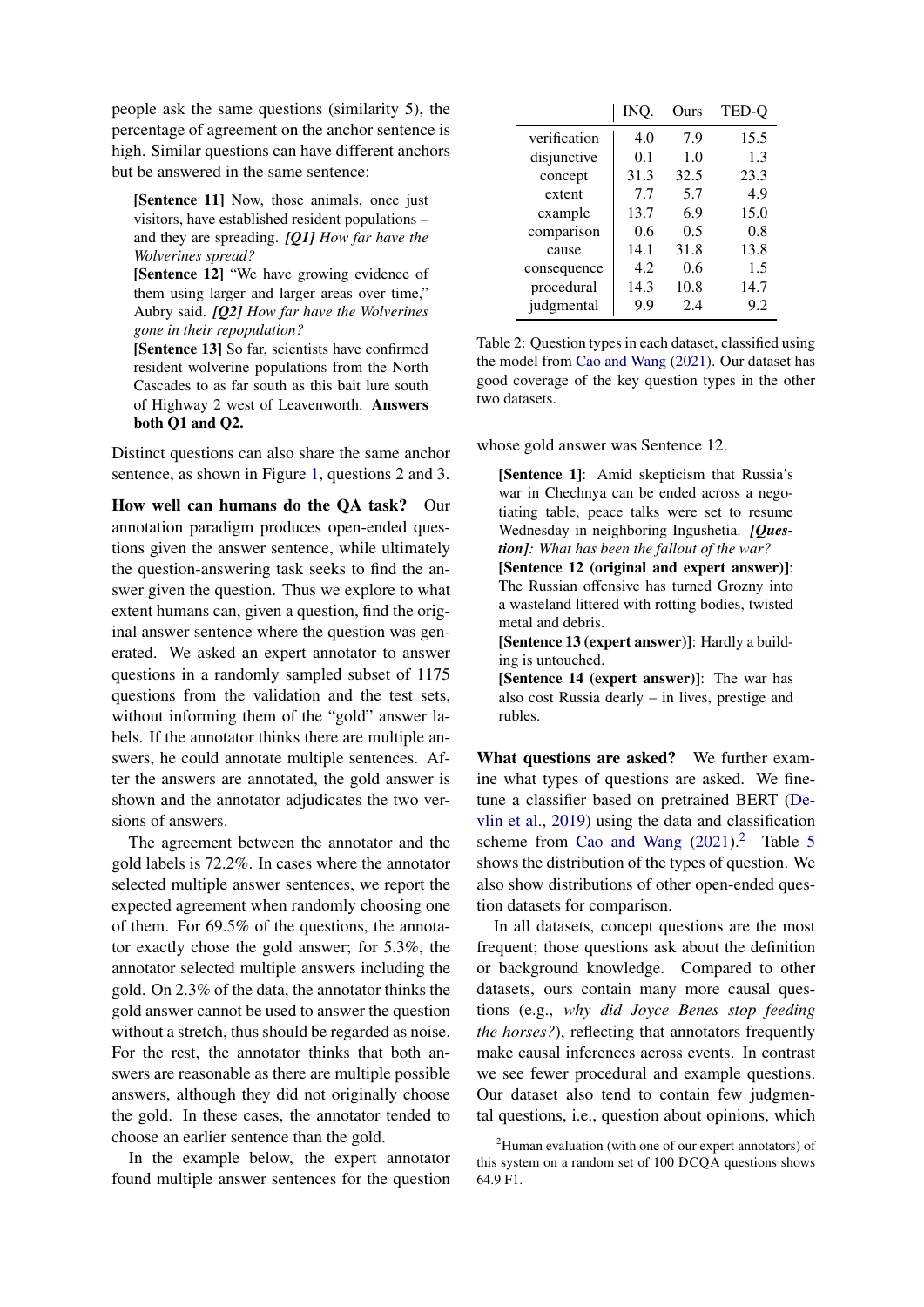people ask the same questions (similarity 5), the percentage of agreement on the anchor sentence is high. Similar questions can have different anchors but be answered in the same sentence:

[Sentence 11] Now, those animals, once just visitors, have established resident populations – and they are spreading. *[Q1] How far have the Wolverines spread?*

[Sentence 12] "We have growing evidence of them using larger and larger areas over time," Aubry said. *[Q2] How far have the Wolverines gone in their repopulation?*

[Sentence 13] So far, scientists have confirmed resident wolverine populations from the North Cascades to as far south as this bait lure south of Highway 2 west of Leavenworth. Answers both Q1 and Q2.

Distinct questions can also share the same anchor sentence, as shown in Figure [1,](#page-0-0) questions 2 and 3.

How well can humans do the QA task? Our annotation paradigm produces open-ended questions given the answer sentence, while ultimately the question-answering task seeks to find the answer given the question. Thus we explore to what extent humans can, given a question, find the original answer sentence where the question was generated. We asked an expert annotator to answer questions in a randomly sampled subset of 1175 questions from the validation and the test sets, without informing them of the "gold" answer labels. If the annotator thinks there are multiple answers, he could annotate multiple sentences. After the answers are annotated, the gold answer is shown and the annotator adjudicates the two versions of answers.

The agreement between the annotator and the gold labels is 72.2%. In cases where the annotator selected multiple answer sentences, we report the expected agreement when randomly choosing one of them. For 69.5% of the questions, the annotator exactly chose the gold answer; for 5.3%, the annotator selected multiple answers including the gold. On 2.3% of the data, the annotator thinks the gold answer cannot be used to answer the question without a stretch, thus should be regarded as noise. For the rest, the annotator thinks that both answers are reasonable as there are multiple possible answers, although they did not originally choose the gold. In these cases, the annotator tended to choose an earlier sentence than the gold.

In the example below, the expert annotator found multiple answer sentences for the question

|              | INO. | Ours | TED-O |
|--------------|------|------|-------|
| verification | 4.0  | 7.9  | 15.5  |
| disjunctive  | 0.1  | 1.0  | 1.3   |
| concept      | 31.3 | 32.5 | 23.3  |
| extent       | 7.7  | 5.7  | 4.9   |
| example      | 13.7 | 6.9  | 15.0  |
| comparison   | 0.6  | 0.5  | 0.8   |
| cause        | 14.1 | 31.8 | 13.8  |
| consequence  | 4.2. | 0.6  | 1.5   |
| procedural   | 14.3 | 10.8 | 14.7  |
| judgmental   | 9.9  | 2.4  | 9.2   |

Table 2: Question types in each dataset, classified using the model from [Cao and Wang](#page-11-1) [\(2021\)](#page-11-1). Our dataset has good coverage of the key question types in the other two datasets.

whose gold answer was Sentence 12.

[Sentence 1]: Amid skepticism that Russia's war in Chechnya can be ended across a negotiating table, peace talks were set to resume Wednesday in neighboring Ingushetia. *[Question]: What has been the fallout of the war?* [Sentence 12 (original and expert answer)]: The Russian offensive has turned Grozny into a wasteland littered with rotting bodies, twisted metal and debris. [Sentence 13 (expert answer)]: Hardly a building is untouched.

[Sentence 14 (expert answer)]: The war has also cost Russia dearly – in lives, prestige and rubles.

What questions are asked? We further examine what types of questions are asked. We finetune a classifier based on pretrained BERT [\(De](#page-12-12)[vlin et al.,](#page-12-12) [2019\)](#page-12-12) using the data and classification scheme from [Cao and Wang](#page-11-1)  $(2021)$ .<sup>[2](#page-6-0)</sup> Table [5](#page-8-0) shows the distribution of the types of question. We also show distributions of other open-ended question datasets for comparison.

In all datasets, concept questions are the most frequent; those questions ask about the definition or background knowledge. Compared to other datasets, ours contain many more causal questions (e.g., *why did Joyce Benes stop feeding the horses?*), reflecting that annotators frequently make causal inferences across events. In contrast we see fewer procedural and example questions. Our dataset also tend to contain few judgmental questions, i.e., question about opinions, which

<span id="page-6-0"></span> $2$ Human evaluation (with one of our expert annotators) of this system on a random set of 100 DCQA questions shows 64.9 F1.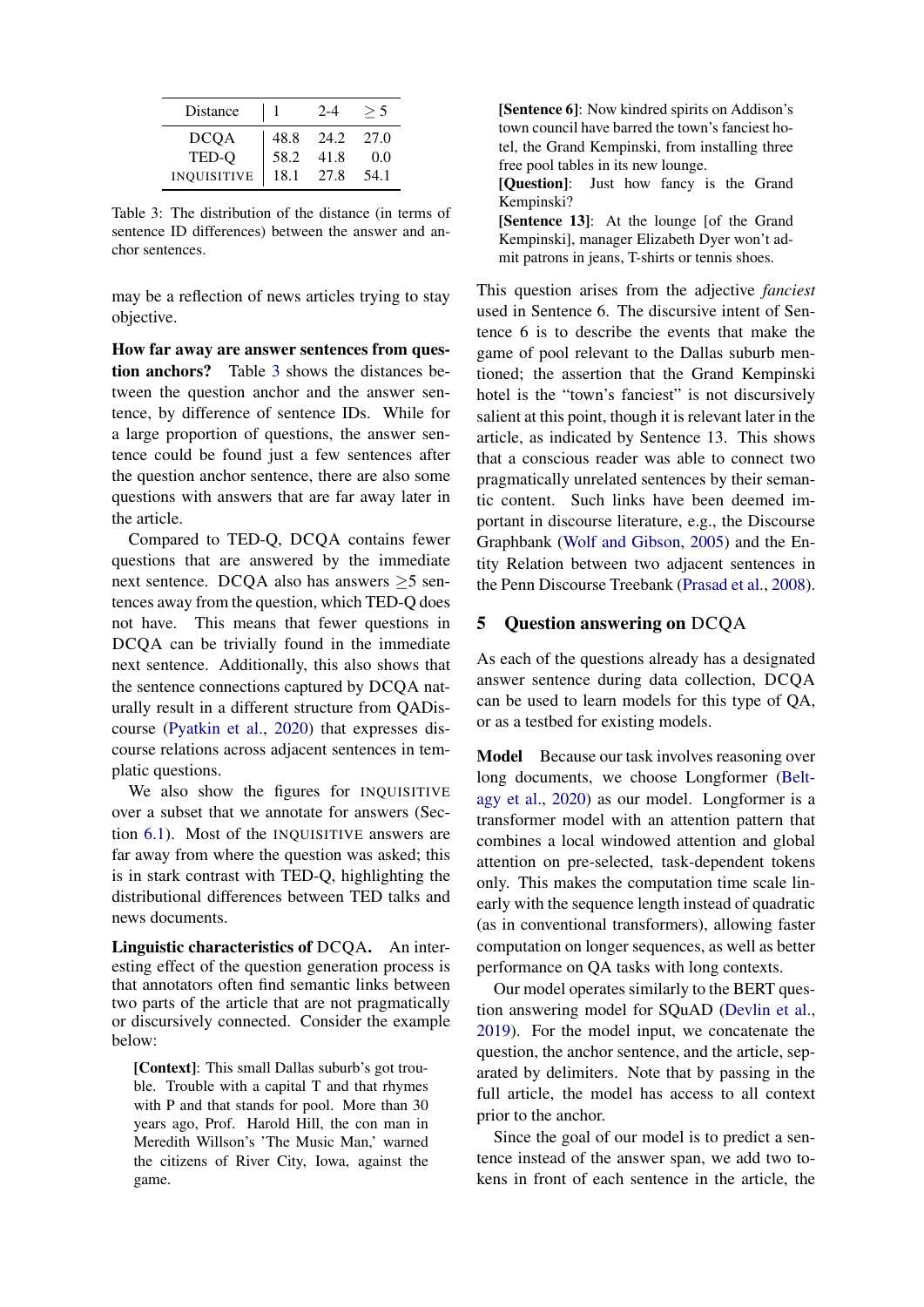| Distance           |      | $2 - 4$ |      |
|--------------------|------|---------|------|
| <b>DCOA</b>        | 48.8 | 24.2    | 27.0 |
| TED-O              | 58.2 | 41.8    | 0.0  |
| <b>INQUISITIVE</b> | 18.1 | 27.8    | 54.1 |

<span id="page-7-1"></span>Table 3: The distribution of the distance (in terms of sentence ID differences) between the answer and anchor sentences.

may be a reflection of news articles trying to stay objective.

How far away are answer sentences from question anchors? Table [3](#page-7-1) shows the distances between the question anchor and the answer sentence, by difference of sentence IDs. While for a large proportion of questions, the answer sentence could be found just a few sentences after the question anchor sentence, there are also some questions with answers that are far away later in the article.

Compared to TED-Q, DCQA contains fewer questions that are answered by the immediate next sentence. DCQA also has answers ≥5 sentences away from the question, which TED-Q does not have. This means that fewer questions in DCQA can be trivially found in the immediate next sentence. Additionally, this also shows that the sentence connections captured by DCQA naturally result in a different structure from QADiscourse [\(Pyatkin et al.,](#page-13-8) [2020\)](#page-13-8) that expresses discourse relations across adjacent sentences in templatic questions.

We also show the figures for INQUISITIVE over a subset that we annotate for answers (Section [6.1\)](#page-9-0). Most of the INQUISITIVE answers are far away from where the question was asked; this is in stark contrast with TED-Q, highlighting the distributional differences between TED talks and news documents.

Linguistic characteristics of DCQA. An interesting effect of the question generation process is that annotators often find semantic links between two parts of the article that are not pragmatically or discursively connected. Consider the example below:

[Context]: This small Dallas suburb's got trouble. Trouble with a capital T and that rhymes with P and that stands for pool. More than 30 years ago, Prof. Harold Hill, the con man in Meredith Willson's 'The Music Man,' warned the citizens of River City, Iowa, against the game.

[Sentence 6]: Now kindred spirits on Addison's town council have barred the town's fanciest hotel, the Grand Kempinski, from installing three free pool tables in its new lounge. [Ouestion]: Just how fancy is the Grand Kempinski? [Sentence 13]: At the lounge [of the Grand Kempinski], manager Elizabeth Dyer won't ad-

mit patrons in jeans, T-shirts or tennis shoes.

This question arises from the adjective *fanciest* used in Sentence 6. The discursive intent of Sentence 6 is to describe the events that make the game of pool relevant to the Dallas suburb mentioned; the assertion that the Grand Kempinski hotel is the "town's fanciest" is not discursively salient at this point, though it is relevant later in the article, as indicated by Sentence 13. This shows that a conscious reader was able to connect two pragmatically unrelated sentences by their semantic content. Such links have been deemed important in discourse literature, e.g., the Discourse Graphbank [\(Wolf and Gibson,](#page-13-11) [2005\)](#page-13-11) and the Entity Relation between two adjacent sentences in the Penn Discourse Treebank [\(Prasad et al.,](#page-12-7) [2008\)](#page-12-7).

# <span id="page-7-0"></span>5 Question answering on DCQA

As each of the questions already has a designated answer sentence during data collection, DCQA can be used to learn models for this type of QA, or as a testbed for existing models.

Model Because our task involves reasoning over long documents, we choose Longformer [\(Belt](#page-11-2)[agy et al.,](#page-11-2) [2020\)](#page-11-2) as our model. Longformer is a transformer model with an attention pattern that combines a local windowed attention and global attention on pre-selected, task-dependent tokens only. This makes the computation time scale linearly with the sequence length instead of quadratic (as in conventional transformers), allowing faster computation on longer sequences, as well as better performance on QA tasks with long contexts.

Our model operates similarly to the BERT question answering model for SQuAD [\(Devlin et al.,](#page-12-12) [2019\)](#page-12-12). For the model input, we concatenate the question, the anchor sentence, and the article, separated by delimiters. Note that by passing in the full article, the model has access to all context prior to the anchor.

Since the goal of our model is to predict a sentence instead of the answer span, we add two tokens in front of each sentence in the article, the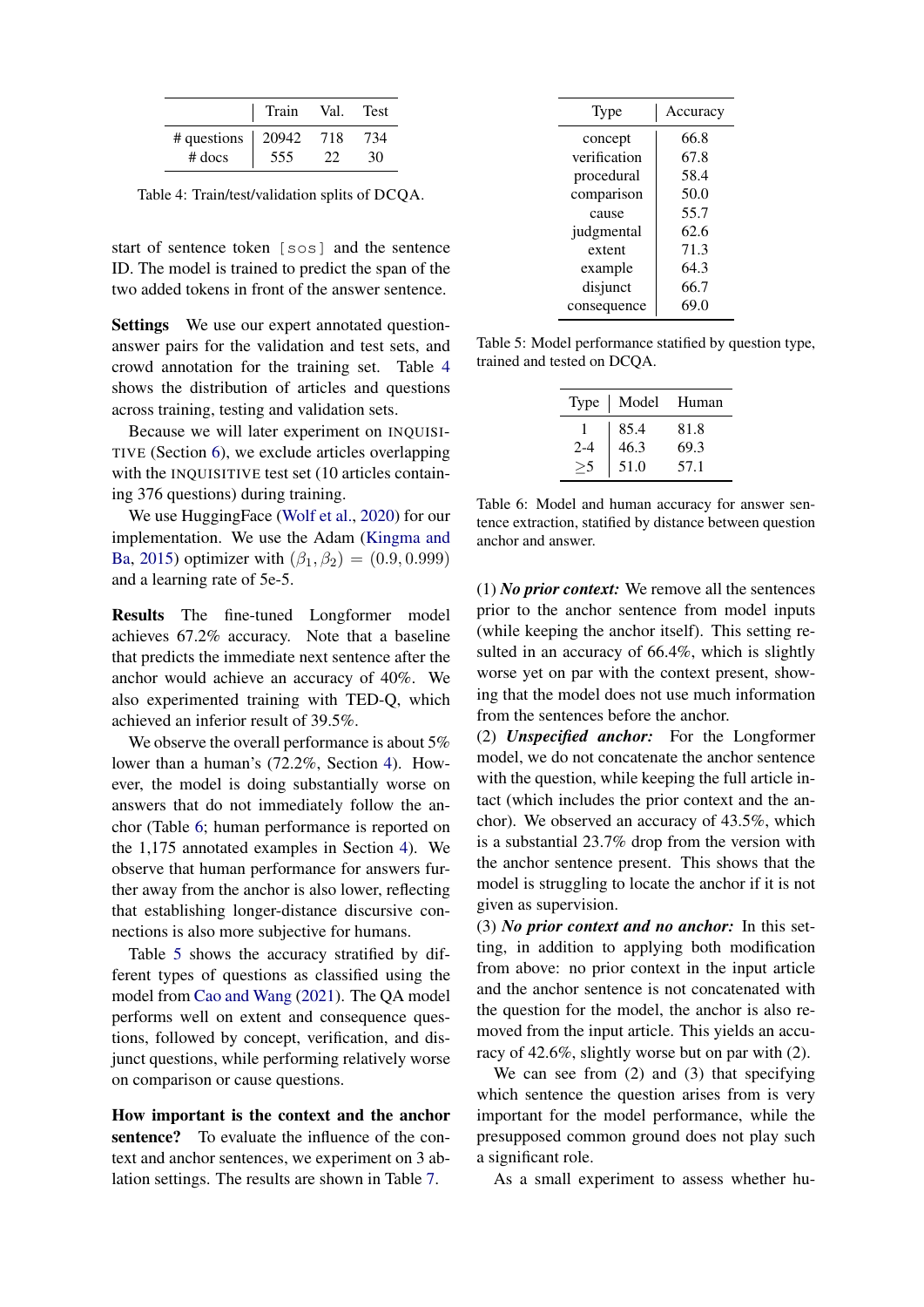|                           | Train | Val. | Test |
|---------------------------|-------|------|------|
| # questions $\vert$ 20942 |       | 718  | 734  |
| $#$ docs                  | 555   |      |      |

<span id="page-8-1"></span>Table 4: Train/test/validation splits of DCQA.

start of sentence token [sos] and the sentence ID. The model is trained to predict the span of the two added tokens in front of the answer sentence.

Settings We use our expert annotated questionanswer pairs for the validation and test sets, and crowd annotation for the training set. Table [4](#page-8-1) shows the distribution of articles and questions across training, testing and validation sets.

Because we will later experiment on INQUISI-TIVE (Section [6\)](#page-9-1), we exclude articles overlapping with the INQUISITIVE test set (10 articles containing 376 questions) during training.

We use HuggingFace [\(Wolf et al.,](#page-13-12) [2020\)](#page-13-12) for our implementation. We use the Adam [\(Kingma and](#page-12-13) [Ba,](#page-12-13) [2015\)](#page-12-13) optimizer with  $(\beta_1, \beta_2) = (0.9, 0.999)$ and a learning rate of 5e-5.

Results The fine-tuned Longformer model achieves 67.2% accuracy. Note that a baseline that predicts the immediate next sentence after the anchor would achieve an accuracy of 40%. We also experimented training with TED-Q, which achieved an inferior result of 39.5%.

We observe the overall performance is about 5% lower than a human's (72.2%, Section [4\)](#page-5-0). However, the model is doing substantially worse on answers that do not immediately follow the anchor (Table [6;](#page-8-2) human performance is reported on the 1,175 annotated examples in Section [4\)](#page-5-0). We observe that human performance for answers further away from the anchor is also lower, reflecting that establishing longer-distance discursive connections is also more subjective for humans.

Table [5](#page-8-0) shows the accuracy stratified by different types of questions as classified using the model from [Cao and Wang](#page-11-1) [\(2021\)](#page-11-1). The QA model performs well on extent and consequence questions, followed by concept, verification, and disjunct questions, while performing relatively worse on comparison or cause questions.

How important is the context and the anchor sentence? To evaluate the influence of the context and anchor sentences, we experiment on 3 ablation settings. The results are shown in Table [7.](#page-9-2)

| Type         | Accuracy |
|--------------|----------|
| concept      | 66.8     |
| verification | 67.8     |
| procedural   | 58.4     |
| comparison   | 50.0     |
| cause        | 55.7     |
| judgmental   | 62.6     |
| extent       | 71.3     |
| example      | 64.3     |
| disjunct     | 66.7     |
| consequence  | 69.0     |

<span id="page-8-0"></span>Table 5: Model performance statified by question type, trained and tested on DCQA.

|         | Type   Model Human |      |
|---------|--------------------|------|
|         | 85.4               | 81.8 |
| $2 - 4$ | 46.3               | 69.3 |
|         | 51.0               | 57.1 |
|         |                    |      |

<span id="page-8-2"></span>Table 6: Model and human accuracy for answer sentence extraction, statified by distance between question anchor and answer.

(1) *No prior context:* We remove all the sentences prior to the anchor sentence from model inputs (while keeping the anchor itself). This setting resulted in an accuracy of 66.4%, which is slightly worse yet on par with the context present, showing that the model does not use much information from the sentences before the anchor.

(2) *Unspecified anchor:* For the Longformer model, we do not concatenate the anchor sentence with the question, while keeping the full article intact (which includes the prior context and the anchor). We observed an accuracy of 43.5%, which is a substantial 23.7% drop from the version with the anchor sentence present. This shows that the model is struggling to locate the anchor if it is not given as supervision.

(3) *No prior context and no anchor:* In this setting, in addition to applying both modification from above: no prior context in the input article and the anchor sentence is not concatenated with the question for the model, the anchor is also removed from the input article. This yields an accuracy of 42.6%, slightly worse but on par with (2).

We can see from (2) and (3) that specifying which sentence the question arises from is very important for the model performance, while the presupposed common ground does not play such a significant role.

As a small experiment to assess whether hu-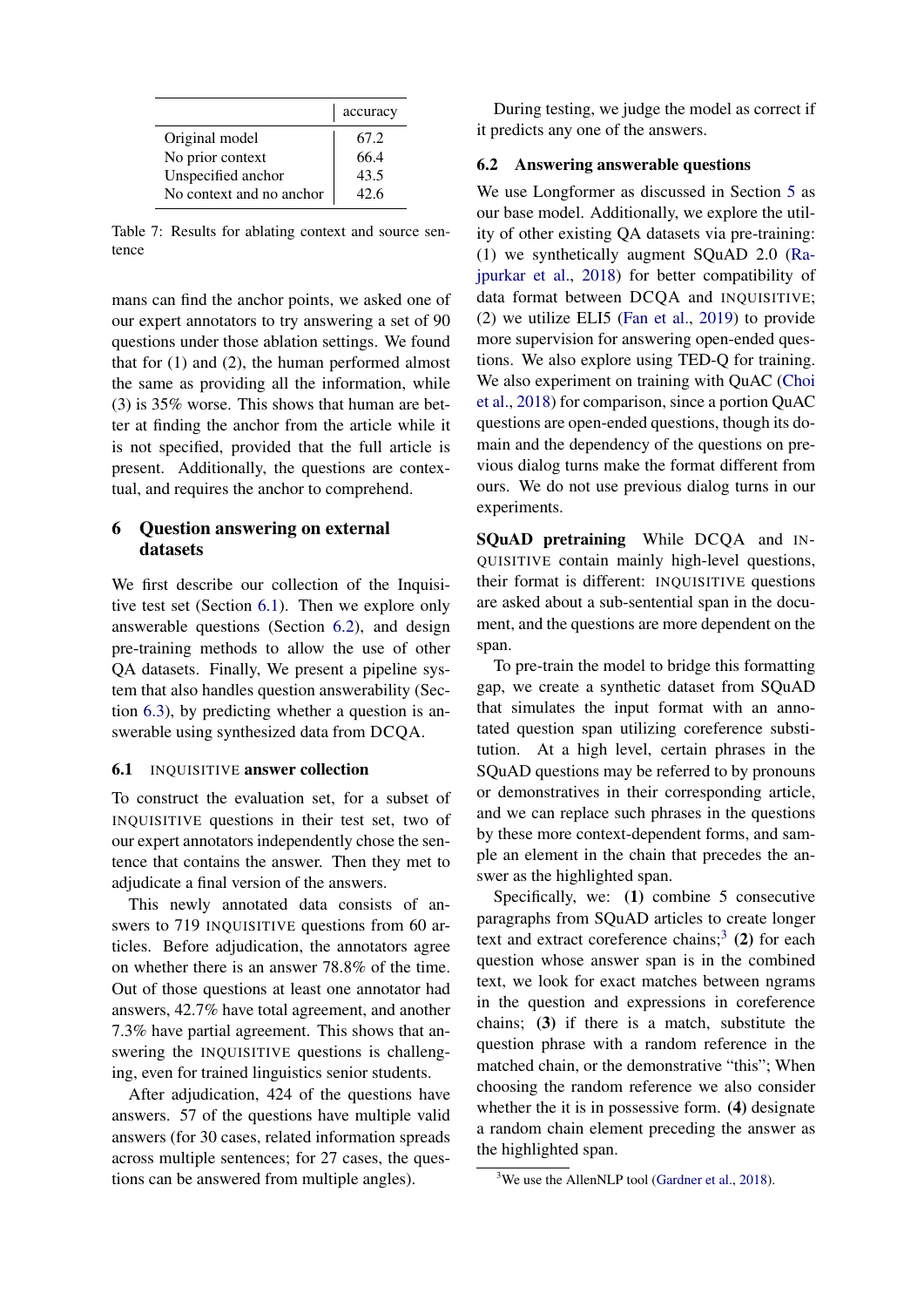|                          | accuracy |
|--------------------------|----------|
| Original model           | 67.2     |
| No prior context         | 66.4     |
| Unspecified anchor       | 43.5     |
| No context and no anchor | 42.6     |

<span id="page-9-2"></span>Table 7: Results for ablating context and source sentence

mans can find the anchor points, we asked one of our expert annotators to try answering a set of 90 questions under those ablation settings. We found that for (1) and (2), the human performed almost the same as providing all the information, while (3) is 35% worse. This shows that human are better at finding the anchor from the article while it is not specified, provided that the full article is present. Additionally, the questions are contextual, and requires the anchor to comprehend.

# <span id="page-9-1"></span>6 Question answering on external datasets

We first describe our collection of the Inquisitive test set (Section [6.1\)](#page-9-0). Then we explore only answerable questions (Section [6.2\)](#page-9-3), and design pre-training methods to allow the use of other QA datasets. Finally, We present a pipeline system that also handles question answerability (Section [6.3\)](#page-10-0), by predicting whether a question is answerable using synthesized data from DCQA.

# <span id="page-9-0"></span>6.1 INQUISITIVE answer collection

To construct the evaluation set, for a subset of INQUISITIVE questions in their test set, two of our expert annotators independently chose the sentence that contains the answer. Then they met to adjudicate a final version of the answers.

This newly annotated data consists of answers to 719 INQUISITIVE questions from 60 articles. Before adjudication, the annotators agree on whether there is an answer 78.8% of the time. Out of those questions at least one annotator had answers, 42.7% have total agreement, and another 7.3% have partial agreement. This shows that answering the INQUISITIVE questions is challenging, even for trained linguistics senior students.

After adjudication, 424 of the questions have answers. 57 of the questions have multiple valid answers (for 30 cases, related information spreads across multiple sentences; for 27 cases, the questions can be answered from multiple angles).

During testing, we judge the model as correct if it predicts any one of the answers.

# <span id="page-9-3"></span>6.2 Answering answerable questions

We use Longformer as discussed in Section [5](#page-7-0) as our base model. Additionally, we explore the utility of other existing QA datasets via pre-training: (1) we synthetically augment SQuAD 2.0 [\(Ra](#page-13-1)[jpurkar et al.,](#page-13-1) [2018\)](#page-13-1) for better compatibility of data format between DCQA and INQUISITIVE; (2) we utilize ELI5 [\(Fan et al.,](#page-12-10) [2019\)](#page-12-10) to provide more supervision for answering open-ended questions. We also explore using TED-Q for training. We also experiment on training with QuAC [\(Choi](#page-11-4) [et al.,](#page-11-4) [2018\)](#page-11-4) for comparison, since a portion QuAC questions are open-ended questions, though its domain and the dependency of the questions on previous dialog turns make the format different from ours. We do not use previous dialog turns in our experiments.

SQuAD pretraining While DCQA and IN-QUISITIVE contain mainly high-level questions, their format is different: INQUISITIVE questions are asked about a sub-sentential span in the document, and the questions are more dependent on the span.

To pre-train the model to bridge this formatting gap, we create a synthetic dataset from SQuAD that simulates the input format with an annotated question span utilizing coreference substitution. At a high level, certain phrases in the SQuAD questions may be referred to by pronouns or demonstratives in their corresponding article, and we can replace such phrases in the questions by these more context-dependent forms, and sample an element in the chain that precedes the answer as the highlighted span.

Specifically, we: (1) combine 5 consecutive paragraphs from SQuAD articles to create longer text and extract coreference chains;<sup>[3](#page-9-4)</sup> (2) for each question whose answer span is in the combined text, we look for exact matches between ngrams in the question and expressions in coreference chains; (3) if there is a match, substitute the question phrase with a random reference in the matched chain, or the demonstrative "this"; When choosing the random reference we also consider whether the it is in possessive form. (4) designate a random chain element preceding the answer as the highlighted span.

<span id="page-9-4"></span><sup>&</sup>lt;sup>3</sup>We use the AllenNLP tool [\(Gardner et al.,](#page-12-14) [2018\)](#page-12-14).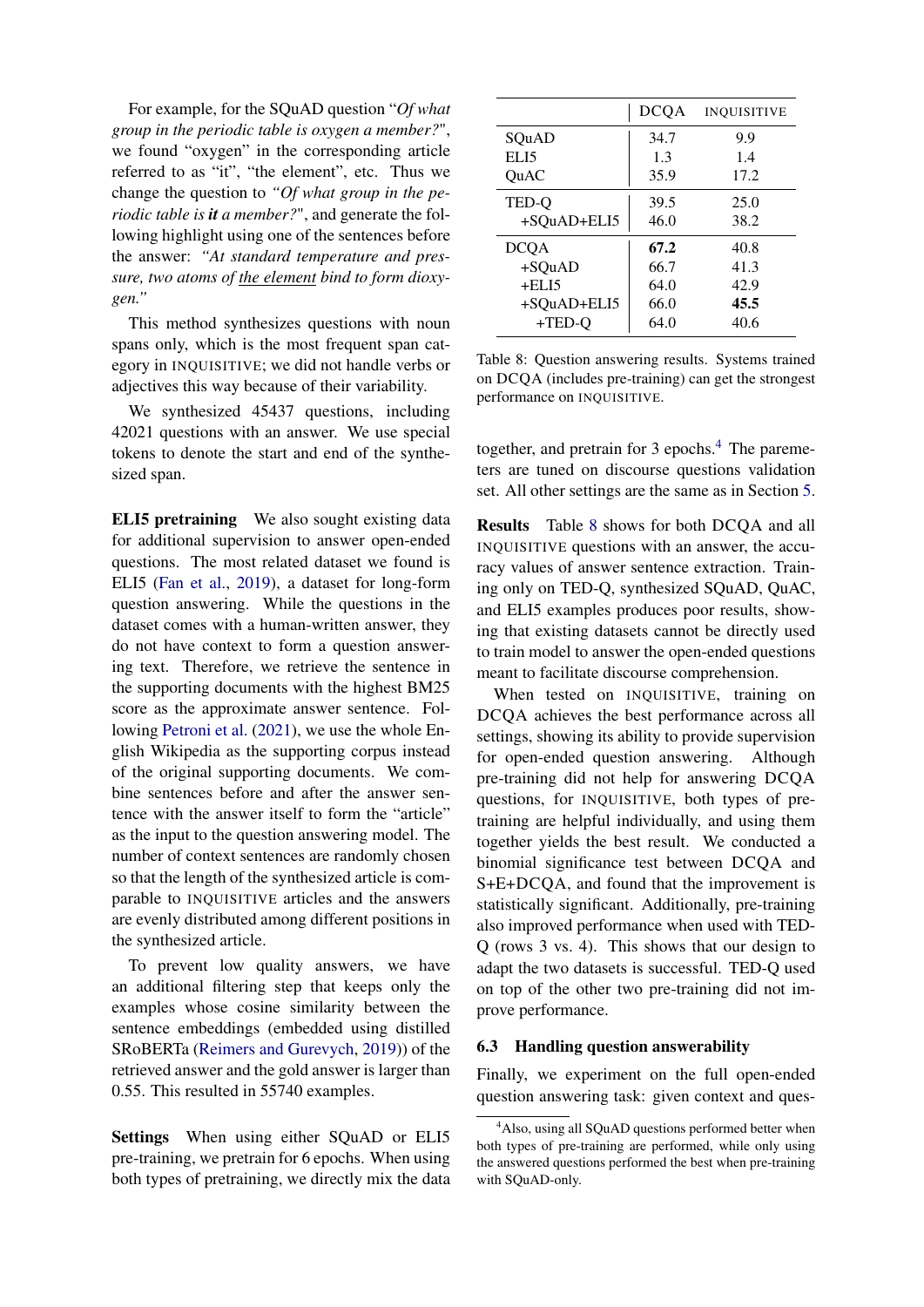For example, for the SQuAD question "*Of what group in the periodic table is oxygen a member?*", we found "oxygen" in the corresponding article referred to as "it", "the element", etc. Thus we change the question to *"Of what group in the periodic table is it a member?*", and generate the following highlight using one of the sentences before the answer: *"At standard temperature and pressure, two atoms of the element bind to form dioxygen."*

This method synthesizes questions with noun spans only, which is the most frequent span category in INQUISITIVE; we did not handle verbs or adjectives this way because of their variability.

We synthesized 45437 questions, including 42021 questions with an answer. We use special tokens to denote the start and end of the synthesized span.

ELI5 pretraining We also sought existing data for additional supervision to answer open-ended questions. The most related dataset we found is ELI5 [\(Fan et al.,](#page-12-10) [2019\)](#page-12-10), a dataset for long-form question answering. While the questions in the dataset comes with a human-written answer, they do not have context to form a question answering text. Therefore, we retrieve the sentence in the supporting documents with the highest BM25 score as the approximate answer sentence. Following [Petroni et al.](#page-12-15) [\(2021\)](#page-12-15), we use the whole English Wikipedia as the supporting corpus instead of the original supporting documents. We combine sentences before and after the answer sentence with the answer itself to form the "article" as the input to the question answering model. The number of context sentences are randomly chosen so that the length of the synthesized article is comparable to INQUISITIVE articles and the answers are evenly distributed among different positions in the synthesized article.

To prevent low quality answers, we have an additional filtering step that keeps only the examples whose cosine similarity between the sentence embeddings (embedded using distilled SRoBERTa [\(Reimers and Gurevych,](#page-13-13) [2019\)](#page-13-13)) of the retrieved answer and the gold answer is larger than 0.55. This resulted in 55740 examples.

Settings When using either SQuAD or ELI5 pre-training, we pretrain for 6 epochs. When using both types of pretraining, we directly mix the data

|             | <b>DCQA</b> | <b>INQUISITIVE</b> |
|-------------|-------------|--------------------|
| SQuAD       | 34.7        | 9.9                |
| ELI5        | 1.3         | 1.4                |
| OuAC        | 35.9        | 17.2               |
| TED-Q       | 39.5        | 25.0               |
| +SQuAD+ELI5 | 46.0        | 38.2               |
| DCQA        | 67.2        | 40.8               |
| $+SQuAD$    | 66.7        | 41.3               |
| $+ELI5$     | 64.0        | 42.9               |
| +SOuAD+ELI5 | 66.0        | 45.5               |
| $+TED-O$    | 64.0        | 40.6               |

<span id="page-10-2"></span>Table 8: Question answering results. Systems trained on DCQA (includes pre-training) can get the strongest performance on INQUISITIVE.

together, and pretrain for 3 epochs.<sup>[4](#page-10-1)</sup> The paremeters are tuned on discourse questions validation set. All other settings are the same as in Section [5.](#page-7-0)

Results Table [8](#page-10-2) shows for both DCQA and all INQUISITIVE questions with an answer, the accuracy values of answer sentence extraction. Training only on TED-Q, synthesized SQuAD, QuAC, and ELI5 examples produces poor results, showing that existing datasets cannot be directly used to train model to answer the open-ended questions meant to facilitate discourse comprehension.

When tested on INQUISITIVE, training on DCQA achieves the best performance across all settings, showing its ability to provide supervision for open-ended question answering. Although pre-training did not help for answering DCQA questions, for INQUISITIVE, both types of pretraining are helpful individually, and using them together yields the best result. We conducted a binomial significance test between DCQA and S+E+DCQA, and found that the improvement is statistically significant. Additionally, pre-training also improved performance when used with TED-Q (rows 3 vs. 4). This shows that our design to adapt the two datasets is successful. TED-Q used on top of the other two pre-training did not improve performance.

### <span id="page-10-0"></span>6.3 Handling question answerability

Finally, we experiment on the full open-ended question answering task: given context and ques-

<span id="page-10-1"></span><sup>&</sup>lt;sup>4</sup>Also, using all SQuAD questions performed better when both types of pre-training are performed, while only using the answered questions performed the best when pre-training with SQuAD-only.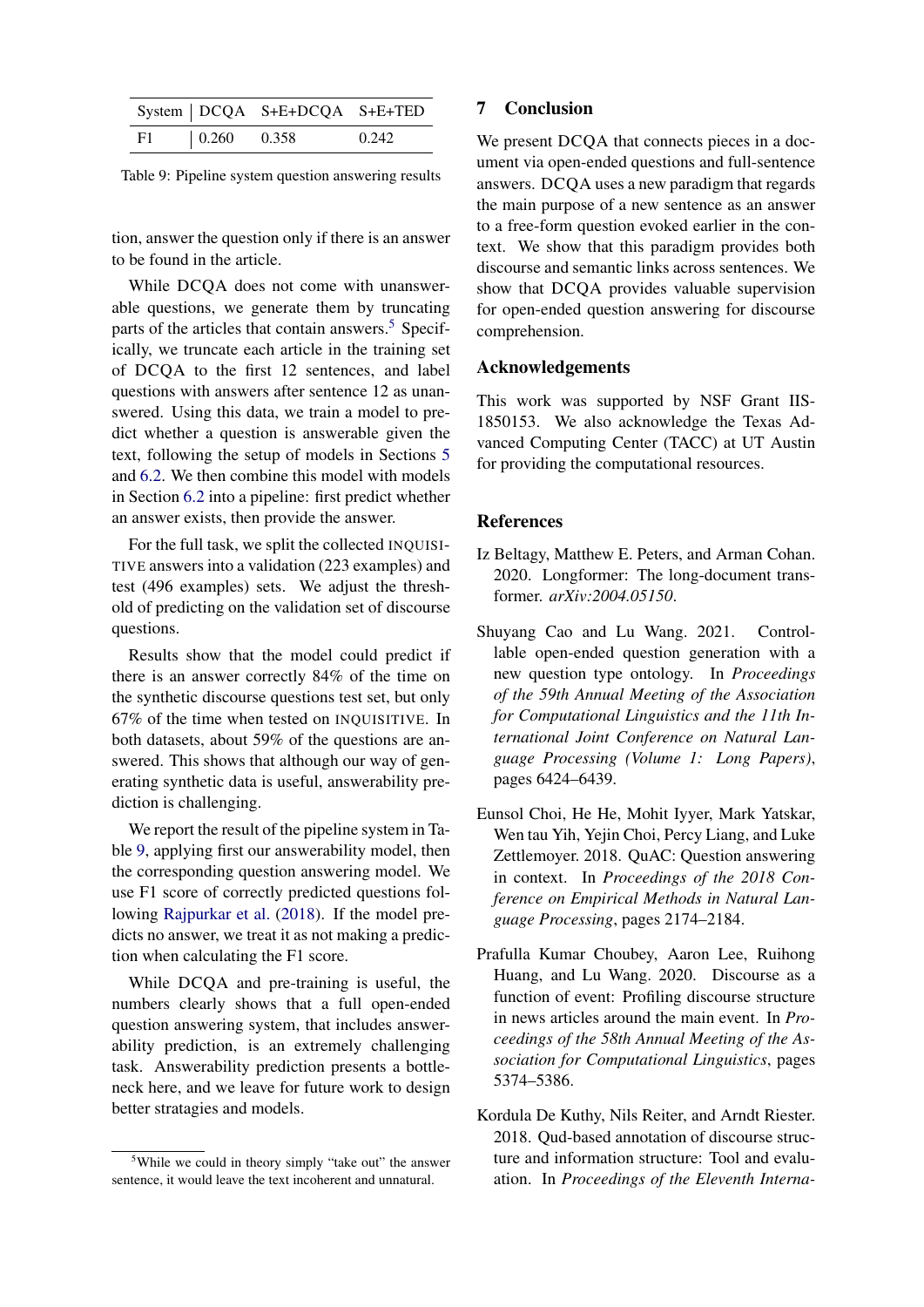|    |               | System   DCQA S+E+DCQA S+E+TED |       |
|----|---------------|--------------------------------|-------|
| F1 | $0.260$ 0.358 |                                | 0.242 |

<span id="page-11-6"></span>Table 9: Pipeline system question answering results

tion, answer the question only if there is an answer to be found in the article.

While DCQA does not come with unanswerable questions, we generate them by truncating parts of the articles that contain answers.<sup>[5](#page-11-5)</sup> Specifically, we truncate each article in the training set of DCQA to the first 12 sentences, and label questions with answers after sentence 12 as unanswered. Using this data, we train a model to predict whether a question is answerable given the text, following the setup of models in Sections [5](#page-7-0) and [6.2.](#page-9-3) We then combine this model with models in Section [6.2](#page-9-3) into a pipeline: first predict whether an answer exists, then provide the answer.

For the full task, we split the collected INQUISI-TIVE answers into a validation (223 examples) and test (496 examples) sets. We adjust the threshold of predicting on the validation set of discourse questions.

Results show that the model could predict if there is an answer correctly 84% of the time on the synthetic discourse questions test set, but only 67% of the time when tested on INQUISITIVE. In both datasets, about 59% of the questions are answered. This shows that although our way of generating synthetic data is useful, answerability prediction is challenging.

We report the result of the pipeline system in Table [9,](#page-11-6) applying first our answerability model, then the corresponding question answering model. We use F1 score of correctly predicted questions following [Rajpurkar et al.](#page-13-1) [\(2018\)](#page-13-1). If the model predicts no answer, we treat it as not making a prediction when calculating the F1 score.

While DCQA and pre-training is useful, the numbers clearly shows that a full open-ended question answering system, that includes answerability prediction, is an extremely challenging task. Answerability prediction presents a bottleneck here, and we leave for future work to design better stratagies and models.

# 7 Conclusion

We present DCQA that connects pieces in a document via open-ended questions and full-sentence answers. DCQA uses a new paradigm that regards the main purpose of a new sentence as an answer to a free-form question evoked earlier in the context. We show that this paradigm provides both discourse and semantic links across sentences. We show that DCQA provides valuable supervision for open-ended question answering for discourse comprehension.

# Acknowledgements

This work was supported by NSF Grant IIS-1850153. We also acknowledge the Texas Advanced Computing Center (TACC) at UT Austin for providing the computational resources.

## **References**

- <span id="page-11-2"></span>Iz Beltagy, Matthew E. Peters, and Arman Cohan. 2020. Longformer: The long-document transformer. *arXiv:2004.05150*.
- <span id="page-11-1"></span>Shuyang Cao and Lu Wang. 2021. Controllable open-ended question generation with a new question type ontology. In *Proceedings of the 59th Annual Meeting of the Association for Computational Linguistics and the 11th International Joint Conference on Natural Language Processing (Volume 1: Long Papers)*, pages 6424–6439.
- <span id="page-11-4"></span>Eunsol Choi, He He, Mohit Iyyer, Mark Yatskar, Wen tau Yih, Yejin Choi, Percy Liang, and Luke Zettlemoyer. 2018. QuAC: Question answering in context. In *Proceedings of the 2018 Conference on Empirical Methods in Natural Language Processing*, pages 2174–2184.
- <span id="page-11-3"></span>Prafulla Kumar Choubey, Aaron Lee, Ruihong Huang, and Lu Wang. 2020. Discourse as a function of event: Profiling discourse structure in news articles around the main event. In *Proceedings of the 58th Annual Meeting of the Association for Computational Linguistics*, pages 5374–5386.
- <span id="page-11-0"></span>Kordula De Kuthy, Nils Reiter, and Arndt Riester. 2018. Qud-based annotation of discourse structure and information structure: Tool and evaluation. In *Proceedings of the Eleventh Interna-*

<span id="page-11-5"></span><sup>5</sup>While we could in theory simply "take out" the answer sentence, it would leave the text incoherent and unnatural.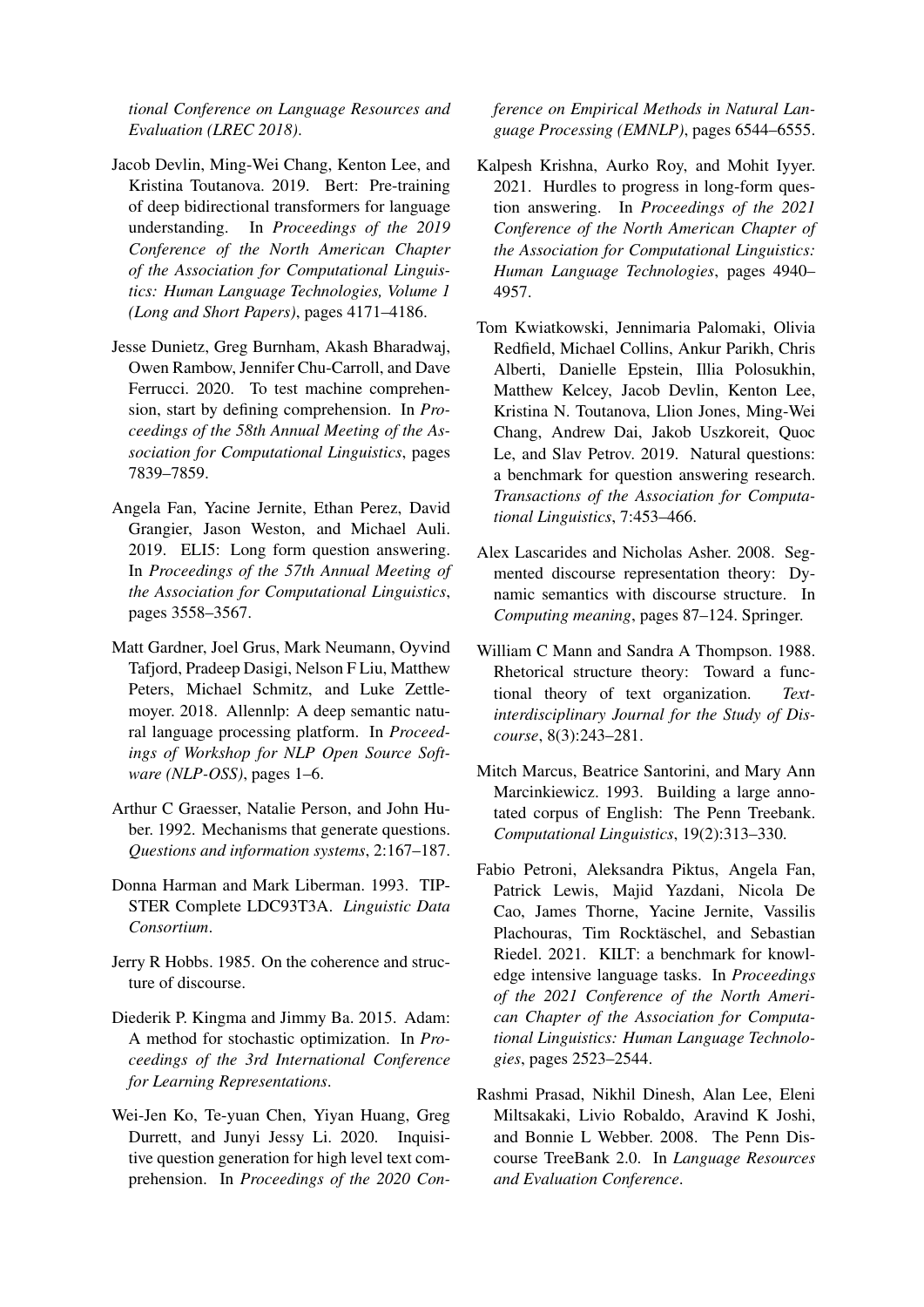*tional Conference on Language Resources and Evaluation (LREC 2018)*.

- <span id="page-12-12"></span>Jacob Devlin, Ming-Wei Chang, Kenton Lee, and Kristina Toutanova. 2019. Bert: Pre-training of deep bidirectional transformers for language understanding. In *Proceedings of the 2019 Conference of the North American Chapter of the Association for Computational Linguistics: Human Language Technologies, Volume 1 (Long and Short Papers)*, pages 4171–4186.
- <span id="page-12-0"></span>Jesse Dunietz, Greg Burnham, Akash Bharadwaj, Owen Rambow, Jennifer Chu-Carroll, and Dave Ferrucci. 2020. To test machine comprehension, start by defining comprehension. In *Proceedings of the 58th Annual Meeting of the Association for Computational Linguistics*, pages 7839–7859.
- <span id="page-12-10"></span>Angela Fan, Yacine Jernite, Ethan Perez, David Grangier, Jason Weston, and Michael Auli. 2019. ELI5: Long form question answering. In *Proceedings of the 57th Annual Meeting of the Association for Computational Linguistics*, pages 3558–3567.
- <span id="page-12-14"></span>Matt Gardner, Joel Grus, Mark Neumann, Oyvind Tafjord, Pradeep Dasigi, Nelson F Liu, Matthew Peters, Michael Schmitz, and Luke Zettlemoyer. 2018. Allennlp: A deep semantic natural language processing platform. In *Proceedings of Workshop for NLP Open Source Software (NLP-OSS)*, pages 1–6.
- <span id="page-12-4"></span>Arthur C Graesser, Natalie Person, and John Huber. 1992. Mechanisms that generate questions. *Questions and information systems*, 2:167–187.
- <span id="page-12-9"></span>Donna Harman and Mark Liberman. 1993. TIP-STER Complete LDC93T3A. *Linguistic Data Consortium*.
- <span id="page-12-3"></span>Jerry R Hobbs. 1985. On the coherence and structure of discourse.
- <span id="page-12-13"></span>Diederik P. Kingma and Jimmy Ba. 2015. Adam: A method for stochastic optimization. In *Proceedings of the 3rd International Conference for Learning Representations*.
- <span id="page-12-1"></span>Wei-Jen Ko, Te-yuan Chen, Yiyan Huang, Greg Durrett, and Junyi Jessy Li. 2020. Inquisitive question generation for high level text comprehension. In *Proceedings of the 2020 Con-*

*ference on Empirical Methods in Natural Language Processing (EMNLP)*, pages 6544–6555.

- <span id="page-12-11"></span>Kalpesh Krishna, Aurko Roy, and Mohit Iyyer. 2021. Hurdles to progress in long-form question answering. In *Proceedings of the 2021 Conference of the North American Chapter of the Association for Computational Linguistics: Human Language Technologies*, pages 4940– 4957.
- <span id="page-12-2"></span>Tom Kwiatkowski, Jennimaria Palomaki, Olivia Redfield, Michael Collins, Ankur Parikh, Chris Alberti, Danielle Epstein, Illia Polosukhin, Matthew Kelcey, Jacob Devlin, Kenton Lee, Kristina N. Toutanova, Llion Jones, Ming-Wei Chang, Andrew Dai, Jakob Uszkoreit, Quoc Le, and Slav Petrov. 2019. Natural questions: a benchmark for question answering research. *Transactions of the Association for Computational Linguistics*, 7:453–466.
- <span id="page-12-6"></span>Alex Lascarides and Nicholas Asher. 2008. Segmented discourse representation theory: Dynamic semantics with discourse structure. In *Computing meaning*, pages 87–124. Springer.
- <span id="page-12-5"></span>William C Mann and Sandra A Thompson. 1988. Rhetorical structure theory: Toward a functional theory of text organization. *Textinterdisciplinary Journal for the Study of Discourse*, 8(3):243–281.
- <span id="page-12-8"></span>Mitch Marcus, Beatrice Santorini, and Mary Ann Marcinkiewicz. 1993. Building a large annotated corpus of English: The Penn Treebank. *Computational Linguistics*, 19(2):313–330.
- <span id="page-12-15"></span>Fabio Petroni, Aleksandra Piktus, Angela Fan, Patrick Lewis, Majid Yazdani, Nicola De Cao, James Thorne, Yacine Jernite, Vassilis Plachouras, Tim Rocktäschel, and Sebastian Riedel. 2021. KILT: a benchmark for knowledge intensive language tasks. In *Proceedings of the 2021 Conference of the North American Chapter of the Association for Computational Linguistics: Human Language Technologies*, pages 2523–2544.
- <span id="page-12-7"></span>Rashmi Prasad, Nikhil Dinesh, Alan Lee, Eleni Miltsakaki, Livio Robaldo, Aravind K Joshi, and Bonnie L Webber. 2008. The Penn Discourse TreeBank 2.0. In *Language Resources and Evaluation Conference*.